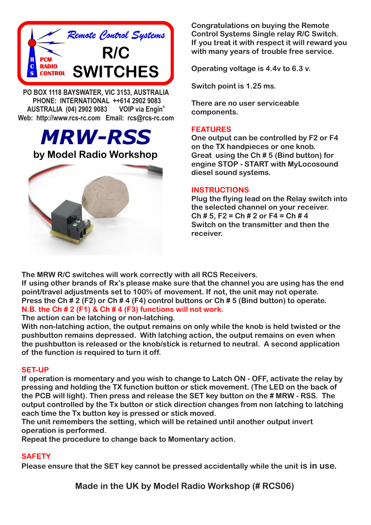

**PO BOX 1118 BAYSWATER, VIC 3153, AUSTRALIA PHONE: INTERNATIONAL ++614 2902 9083 VOIP** via Engin<sup>®</sup> **AUSTRALIA (04) 2902 9083 Web: http://www.rcs-rc.com Email: rcs@rcs-rc.com**

*MRW-RSS*

# **by Model Radio Workshop**



**Congratulations on buying the Remote Control Systems Single relay R/C Switch. If you treat it with respect it will reward you with many years of trouble free service.**

**Operating voltage is 4.4v to 6.3 v.**

**Switch point is 1.25 ms.** 

**There are no user serviceable components.**

## **FEATURES**

**One output can be controlled by F2 or F4 on the TX handpieces or one knob. Great using the Ch # 5 (Bind button) for engine STOP - START with MyLocosound diesel sound systems.** 

## **INSTRUCTIONS**

**Plug the flying lead on the Relay switch into the selected channel on your receiver. Ch # 5, F2 = Ch # 2 or F4 = Ch # 4 Switch on the transmitter and then the receiver.**

**The MRW R/C switches will work correctly with all RCS Receivers.**

**If using other brands of Rx's please make sure that the channel you are using has the end point/travel adjustments set to 100% of movement. If not, the unit may not operate. Press the Ch # 2 (F2) or Ch # 4 (F4) control buttons or Ch # 5 (Bind button) to operate. N.B. the Ch # 2 (F1) & Ch # 4 (F3) functions will not work.**

#### **The action can be latching or non-latching.**

**With non-latching action, the output remains on only while the knob is held twisted or the pushbutton remains depressed. With latching action, the output remains on even when the pushbutton is released or the knob/stick is returned to neutral. A second application of the function is required to turn it off.**

#### **SET-UP**

**If operation is momentary and you wish to change to Latch ON - OFF, activate the relay by pressing and holding the TX function button or stick movement. (The LED on the back of the PCB will light). Then press and release the SET key button on the # MRW - RSS. The output controlled by the Tx button or stick direction changes from non latching to latching each time the Tx button key is pressed or stick moved.**

**The unit remembers the setting, which will be retained until another output invert operation is performed.**

**Repeat the procedure to change back to Momentary action.**

# **SAFETY**

**Please ensure that the SET key cannot be pressed accidentally while the unit is in use.**

**Made in the UK by Model Radio Workshop (# RCS06)**